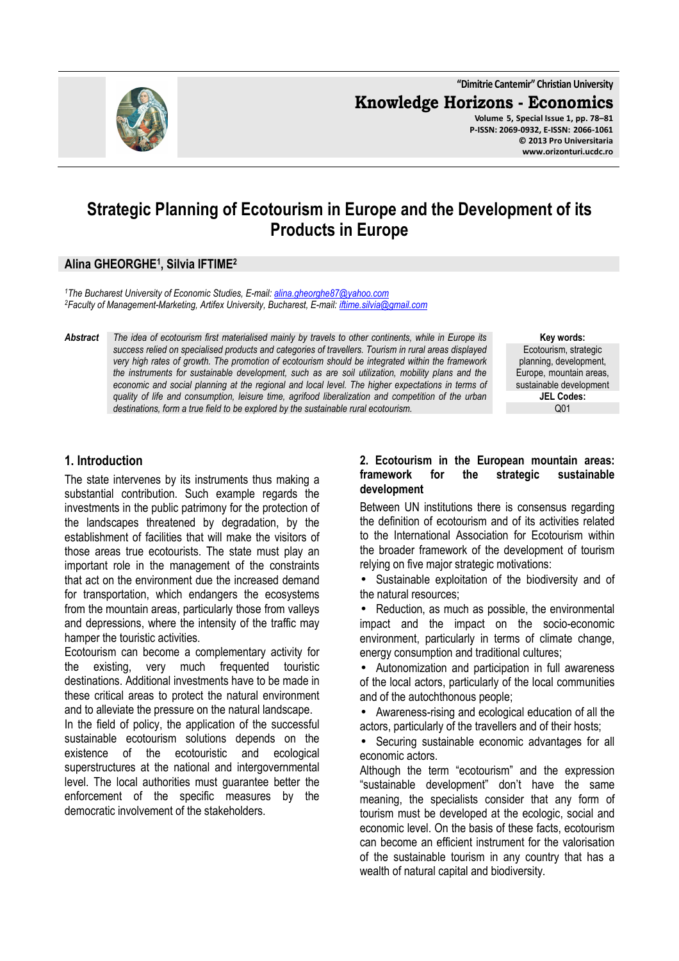**"Dimitrie Cantemir" Christian University Knowledge Horizons - Economics Volume 5, Special Issue 1, pp. 78–81 P-ISSN: 2069-0932, E-ISSN: 2066-1061 © 2013 Pro Universitaria www.orizonturi.ucdc.ro**

# **Strategic Planning of Ecotourism in Europe and the Development of its Products in Europe**

## **Alina GHEORGHE<sup>1</sup> , Silvia IFTIME<sup>2</sup>**

*<sup>1</sup>The Bucharest University of Economic Studies, E-mail: alina.gheorghe87@yahoo.com <sup>2</sup>Faculty of Management-Marketing, Artifex University, Bucharest, E-mail: iftime.silvia@gmail.com* 

*Abstract The idea of ecotourism first materialised mainly by travels to other continents, while in Europe its success relied on specialised products and categories of travellers. Tourism in rural areas displayed very high rates of growth. The promotion of ecotourism should be integrated within the framework the instruments for sustainable development, such as are soil utilization, mobility plans and the economic and social planning at the regional and local level. The higher expectations in terms of quality of life and consumption, leisure time, agrifood liberalization and competition of the urban destinations, form a true field to be explored by the sustainable rural ecotourism.* 

**Key words:** Ecotourism, strategic planning, development, Europe, mountain areas, sustainable development **JEL Codes:**  $O<sub>01</sub>$ 

### **1. Introduction**

The state intervenes by its instruments thus making a substantial contribution. Such example regards the investments in the public patrimony for the protection of the landscapes threatened by degradation, by the establishment of facilities that will make the visitors of those areas true ecotourists. The state must play an important role in the management of the constraints that act on the environment due the increased demand for transportation, which endangers the ecosystems from the mountain areas, particularly those from valleys and depressions, where the intensity of the traffic may hamper the touristic activities.

Ecotourism can become a complementary activity for the existing, very much frequented touristic destinations. Additional investments have to be made in these critical areas to protect the natural environment and to alleviate the pressure on the natural landscape.

In the field of policy, the application of the successful sustainable ecotourism solutions depends on the existence of the ecotouristic and ecological superstructures at the national and intergovernmental level. The local authorities must guarantee better the enforcement of the specific measures by the democratic involvement of the stakeholders.

#### **2. Ecotourism in the European mountain areas: framework for the strategic sustainable development**

Between UN institutions there is consensus regarding the definition of ecotourism and of its activities related to the International Association for Ecotourism within the broader framework of the development of tourism relying on five major strategic motivations:

Sustainable exploitation of the biodiversity and of the natural resources;

• Reduction, as much as possible, the environmental impact and the impact on the socio-economic environment, particularly in terms of climate change, energy consumption and traditional cultures;

• Autonomization and participation in full awareness of the local actors, particularly of the local communities and of the autochthonous people;

• Awareness-rising and ecological education of all the actors, particularly of the travellers and of their hosts;

• Securing sustainable economic advantages for all economic actors.

Although the term "ecotourism" and the expression "sustainable development" don't have the same meaning, the specialists consider that any form of tourism must be developed at the ecologic, social and economic level. On the basis of these facts, ecotourism can become an efficient instrument for the valorisation of the sustainable tourism in any country that has a wealth of natural capital and biodiversity.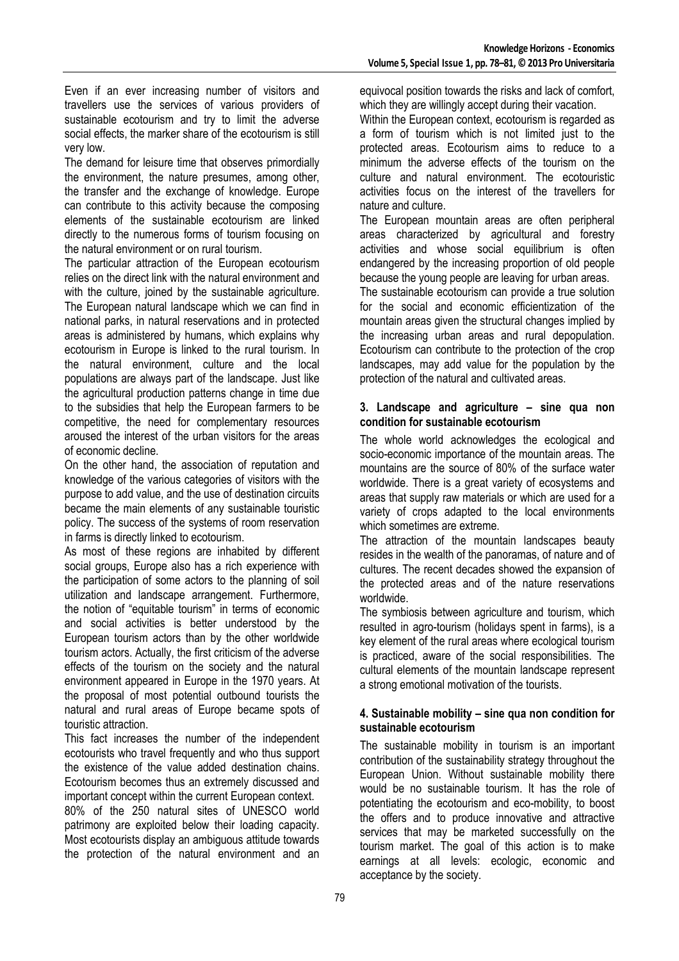Even if an ever increasing number of visitors and travellers use the services of various providers of sustainable ecotourism and try to limit the adverse social effects, the marker share of the ecotourism is still very low.

The demand for leisure time that observes primordially the environment, the nature presumes, among other, the transfer and the exchange of knowledge. Europe can contribute to this activity because the composing elements of the sustainable ecotourism are linked directly to the numerous forms of tourism focusing on the natural environment or on rural tourism.

The particular attraction of the European ecotourism relies on the direct link with the natural environment and with the culture, joined by the sustainable agriculture. The European natural landscape which we can find in national parks, in natural reservations and in protected areas is administered by humans, which explains why ecotourism in Europe is linked to the rural tourism. In the natural environment, culture and the local populations are always part of the landscape. Just like the agricultural production patterns change in time due to the subsidies that help the European farmers to be competitive, the need for complementary resources aroused the interest of the urban visitors for the areas of economic decline.

On the other hand, the association of reputation and knowledge of the various categories of visitors with the purpose to add value, and the use of destination circuits became the main elements of any sustainable touristic policy. The success of the systems of room reservation in farms is directly linked to ecotourism.

As most of these regions are inhabited by different social groups, Europe also has a rich experience with the participation of some actors to the planning of soil utilization and landscape arrangement. Furthermore, the notion of "equitable tourism" in terms of economic and social activities is better understood by the European tourism actors than by the other worldwide tourism actors. Actually, the first criticism of the adverse effects of the tourism on the society and the natural environment appeared in Europe in the 1970 years. At the proposal of most potential outbound tourists the natural and rural areas of Europe became spots of touristic attraction.

This fact increases the number of the independent ecotourists who travel frequently and who thus support the existence of the value added destination chains. Ecotourism becomes thus an extremely discussed and important concept within the current European context.

80% of the 250 natural sites of UNESCO world patrimony are exploited below their loading capacity. Most ecotourists display an ambiguous attitude towards the protection of the natural environment and an equivocal position towards the risks and lack of comfort, which they are willingly accept during their vacation.

Within the European context, ecotourism is regarded as a form of tourism which is not limited just to the protected areas. Ecotourism aims to reduce to a minimum the adverse effects of the tourism on the culture and natural environment. The ecotouristic activities focus on the interest of the travellers for nature and culture.

The European mountain areas are often peripheral areas characterized by agricultural and forestry activities and whose social equilibrium is often endangered by the increasing proportion of old people because the young people are leaving for urban areas.

The sustainable ecotourism can provide a true solution for the social and economic efficientization of the mountain areas given the structural changes implied by the increasing urban areas and rural depopulation. Ecotourism can contribute to the protection of the crop landscapes, may add value for the population by the protection of the natural and cultivated areas.

#### **3. Landscape and agriculture – sine qua non condition for sustainable ecotourism**

The whole world acknowledges the ecological and socio-economic importance of the mountain areas. The mountains are the source of 80% of the surface water worldwide. There is a great variety of ecosystems and areas that supply raw materials or which are used for a variety of crops adapted to the local environments which sometimes are extreme.

The attraction of the mountain landscapes beauty resides in the wealth of the panoramas, of nature and of cultures. The recent decades showed the expansion of the protected areas and of the nature reservations worldwide.

The symbiosis between agriculture and tourism, which resulted in agro-tourism (holidays spent in farms), is a key element of the rural areas where ecological tourism is practiced, aware of the social responsibilities. The cultural elements of the mountain landscape represent a strong emotional motivation of the tourists.

#### **4. Sustainable mobility – sine qua non condition for sustainable ecotourism**

The sustainable mobility in tourism is an important contribution of the sustainability strategy throughout the European Union. Without sustainable mobility there would be no sustainable tourism. It has the role of potentiating the ecotourism and eco-mobility, to boost the offers and to produce innovative and attractive services that may be marketed successfully on the tourism market. The goal of this action is to make earnings at all levels: ecologic, economic and acceptance by the society.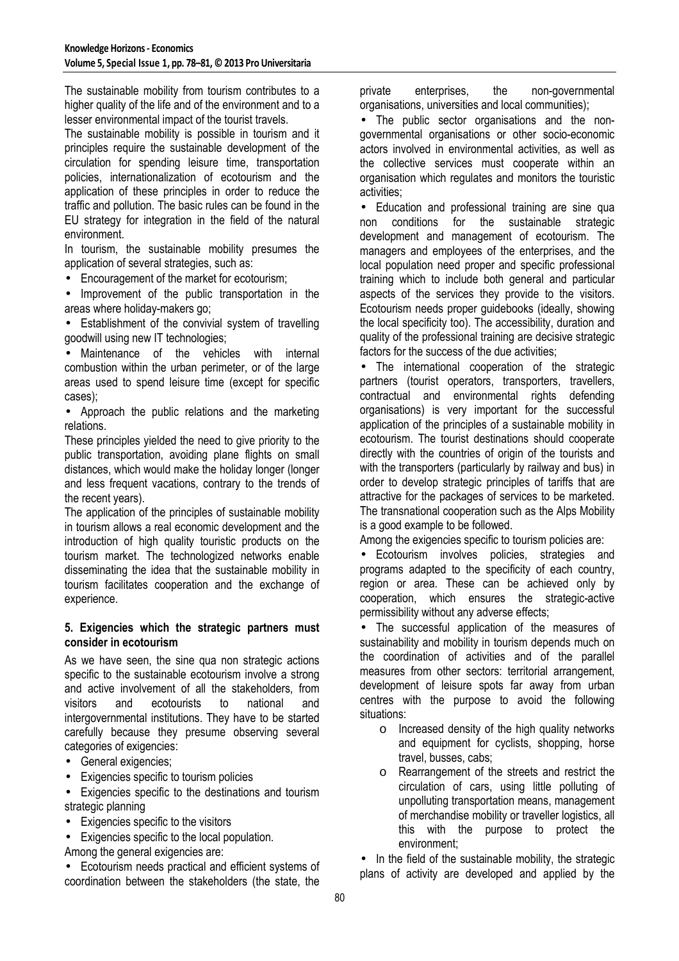The sustainable mobility from tourism contributes to a higher quality of the life and of the environment and to a lesser environmental impact of the tourist travels.

The sustainable mobility is possible in tourism and it principles require the sustainable development of the circulation for spending leisure time, transportation policies, internationalization of ecotourism and the application of these principles in order to reduce the traffic and pollution. The basic rules can be found in the EU strategy for integration in the field of the natural environment.

In tourism, the sustainable mobility presumes the application of several strategies, such as:

• Encouragement of the market for ecotourism;

Improvement of the public transportation in the areas where holiday-makers go;

• Establishment of the convivial system of travelling goodwill using new IT technologies;

• Maintenance of the vehicles with internal combustion within the urban perimeter, or of the large areas used to spend leisure time (except for specific cases);

• Approach the public relations and the marketing relations.

These principles yielded the need to give priority to the public transportation, avoiding plane flights on small distances, which would make the holiday longer (longer and less frequent vacations, contrary to the trends of the recent years).

The application of the principles of sustainable mobility in tourism allows a real economic development and the introduction of high quality touristic products on the tourism market. The technologized networks enable disseminating the idea that the sustainable mobility in tourism facilitates cooperation and the exchange of experience.

#### **5. Exigencies which the strategic partners must consider in ecotourism**

As we have seen, the sine qua non strategic actions specific to the sustainable ecotourism involve a strong and active involvement of all the stakeholders, from visitors and ecotourists to national and intergovernmental institutions. They have to be started carefully because they presume observing several categories of exigencies:

- General exigencies;
- Exigencies specific to tourism policies
- Exigencies specific to the destinations and tourism strategic planning
- Exigencies specific to the visitors
- Exigencies specific to the local population.

Among the general exigencies are:

• Ecotourism needs practical and efficient systems of coordination between the stakeholders (the state, the

private enterprises, the non-governmental organisations, universities and local communities);

• The public sector organisations and the nongovernmental organisations or other socio-economic actors involved in environmental activities, as well as the collective services must cooperate within an organisation which regulates and monitors the touristic activities;

• Education and professional training are sine qua non conditions for the sustainable strategic development and management of ecotourism. The managers and employees of the enterprises, and the local population need proper and specific professional training which to include both general and particular aspects of the services they provide to the visitors. Ecotourism needs proper guidebooks (ideally, showing the local specificity too). The accessibility, duration and quality of the professional training are decisive strategic factors for the success of the due activities;

• The international cooperation of the strategic partners (tourist operators, transporters, travellers, contractual and environmental rights defending organisations) is very important for the successful application of the principles of a sustainable mobility in ecotourism. The tourist destinations should cooperate directly with the countries of origin of the tourists and with the transporters (particularly by railway and bus) in order to develop strategic principles of tariffs that are attractive for the packages of services to be marketed. The transnational cooperation such as the Alps Mobility is a good example to be followed.

Among the exigencies specific to tourism policies are:

• Ecotourism involves policies, strategies and programs adapted to the specificity of each country, region or area. These can be achieved only by cooperation, which ensures the strategic-active permissibility without any adverse effects;

• The successful application of the measures of sustainability and mobility in tourism depends much on the coordination of activities and of the parallel measures from other sectors: territorial arrangement, development of leisure spots far away from urban centres with the purpose to avoid the following situations:

- o Increased density of the high quality networks and equipment for cyclists, shopping, horse travel, busses, cabs;
- o Rearrangement of the streets and restrict the circulation of cars, using little polluting of unpolluting transportation means, management of merchandise mobility or traveller logistics, all this with the purpose to protect the environment;

• In the field of the sustainable mobility, the strategic plans of activity are developed and applied by the